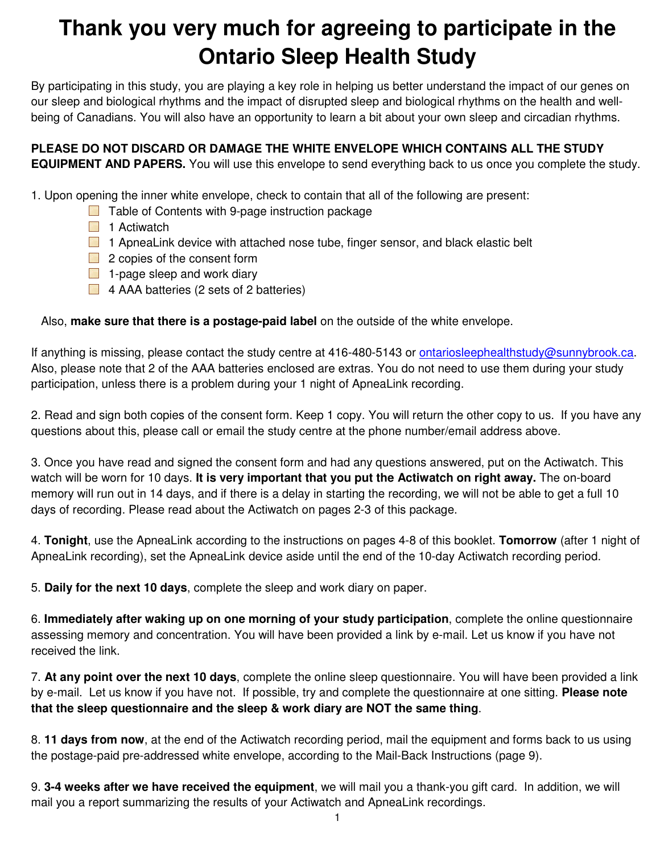## **Thank you very much for agreeing to participate in the Ontario Sleep Health Study**

By participating in this study, you are playing a key role in helping us better understand the impact of our genes on our sleep and biological rhythms and the impact of disrupted sleep and biological rhythms on the health and wellbeing of Canadians. You will also have an opportunity to learn a bit about your own sleep and circadian rhythms.

**PLEASE DO NOT DISCARD OR DAMAGE THE WHITE ENVELOPE WHICH CONTAINS ALL THE STUDY EQUIPMENT AND PAPERS.** You will use this envelope to send everything back to us once you complete the study.

1. Upon opening the inner white envelope, check to contain that all of the following are present:

- $\Box$  Table of Contents with 9-page instruction package
- $\Box$  1 Actiwatch
- 1 ApneaLink device with attached nose tube, finger sensor, and black elastic belt
- **2** copies of the consent form
- $\Box$  1-page sleep and work diary
- $\Box$  4 AAA batteries (2 sets of 2 batteries)

Also, **make sure that there is a postage-paid label** on the outside of the white envelope.

If anything is missing, please contact the study centre at 416-480-5143 or ontariosleephealthstudy@sunnybrook.ca. Also, please note that 2 of the AAA batteries enclosed are extras. You do not need to use them during your study participation, unless there is a problem during your 1 night of ApneaLink recording.

2. Read and sign both copies of the consent form. Keep 1 copy. You will return the other copy to us. If you have any questions about this, please call or email the study centre at the phone number/email address above.

3. Once you have read and signed the consent form and had any questions answered, put on the Actiwatch. This watch will be worn for 10 days. **It is very important that you put the Actiwatch on right away.** The on-board memory will run out in 14 days, and if there is a delay in starting the recording, we will not be able to get a full 10 days of recording. Please read about the Actiwatch on pages 2-3 of this package.

4. **Tonight**, use the ApneaLink according to the instructions on pages 4-8 of this booklet. **Tomorrow** (after 1 night of ApneaLink recording), set the ApneaLink device aside until the end of the 10-day Actiwatch recording period.

5. **Daily for the next 10 days**, complete the sleep and work diary on paper.

6. **Immediately after waking up on one morning of your study participation**, complete the online questionnaire assessing memory and concentration. You will have been provided a link by e-mail. Let us know if you have not received the link.

7. **At any point over the next 10 days**, complete the online sleep questionnaire. You will have been provided a link by e-mail. Let us know if you have not. If possible, try and complete the questionnaire at one sitting. **Please note that the sleep questionnaire and the sleep & work diary are NOT the same thing**.

8. **11 days from now**, at the end of the Actiwatch recording period, mail the equipment and forms back to us using the postage-paid pre-addressed white envelope, according to the Mail-Back Instructions (page 9).

9. **3-4 weeks after we have received the equipment**, we will mail you a thank-you gift card. In addition, we will mail you a report summarizing the results of your Actiwatch and ApneaLink recordings.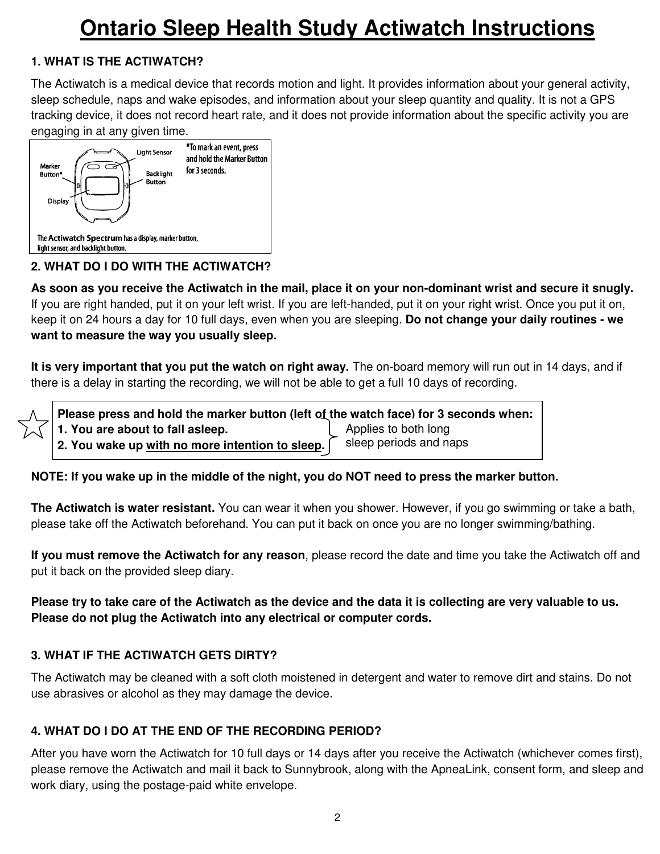## **Ontario Sleep Health Study Actiwatch Instructions**

## **1. WHAT IS THE ACTIWATCH?**

The Actiwatch is a medical device that records motion and light. It provides information about your general activity, sleep schedule, naps and wake episodes, and information about your sleep quantity and quality. It is not a GPS tracking device, it does not record heart rate, and it does not provide information about the specific activity you are engaging in at any given time.



## **2. WHAT DO I DO WITH THE ACTIWATCH?**

**As soon as you receive the Actiwatch in the mail, place it on your non-dominant wrist and secure it snugly.** If you are right handed, put it on your left wrist. If you are left-handed, put it on your right wrist. Once you put it on, keep it on 24 hours a day for 10 full days, even when you are sleeping. **Do not change your daily routines - we want to measure the way you usually sleep.** 

**It is very important that you put the watch on right away.** The on-board memory will run out in 14 days, and if there is a delay in starting the recording, we will not be able to get a full 10 days of recording.

 **Please press and hold the marker button (left of the watch face) for 3 seconds when: 1. You are about to fall asleep. 2. You wake up with no more intention to sleep.**  Applies to both long sleep periods and naps

## **NOTE: If you wake up in the middle of the night, you do NOT need to press the marker button.**

**The Actiwatch is water resistant.** You can wear it when you shower. However, if you go swimming or take a bath, please take off the Actiwatch beforehand. You can put it back on once you are no longer swimming/bathing.

**If you must remove the Actiwatch for any reason**, please record the date and time you take the Actiwatch off and put it back on the provided sleep diary.

**Please try to take care of the Actiwatch as the device and the data it is collecting are very valuable to us. Please do not plug the Actiwatch into any electrical or computer cords.** 

## **3. WHAT IF THE ACTIWATCH GETS DIRTY?**

The Actiwatch may be cleaned with a soft cloth moistened in detergent and water to remove dirt and stains. Do not use abrasives or alcohol as they may damage the device.

## **4. WHAT DO I DO AT THE END OF THE RECORDING PERIOD?**

After you have worn the Actiwatch for 10 full days or 14 days after you receive the Actiwatch (whichever comes first), please remove the Actiwatch and mail it back to Sunnybrook, along with the ApneaLink, consent form, and sleep and work diary, using the postage-paid white envelope.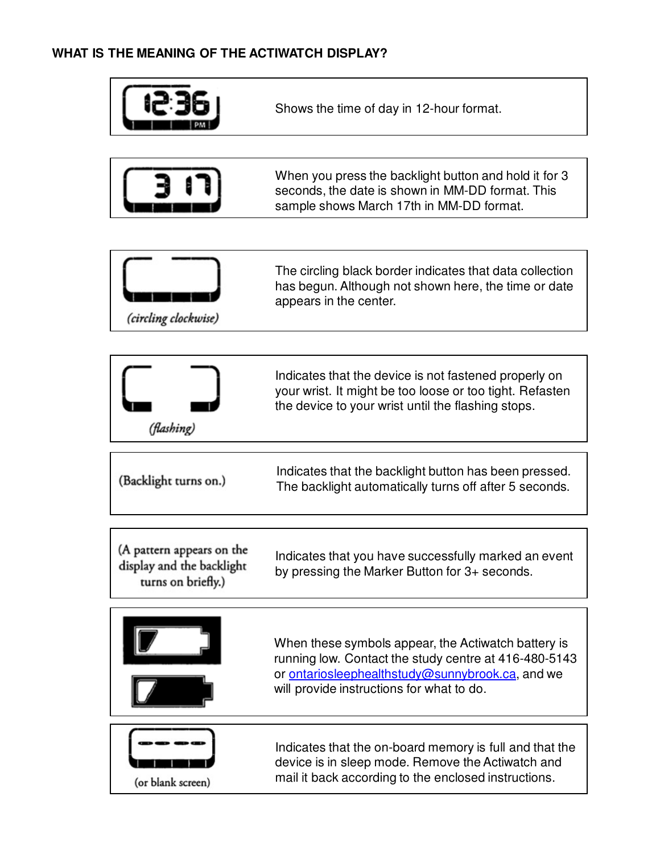## **WHAT IS THE MEANING OF THE ACTIWATCH DISPLAY?**



(or blank screen)

device is in sleep mode. Remove the Actiwatch and mail it back according to the enclosed instructions.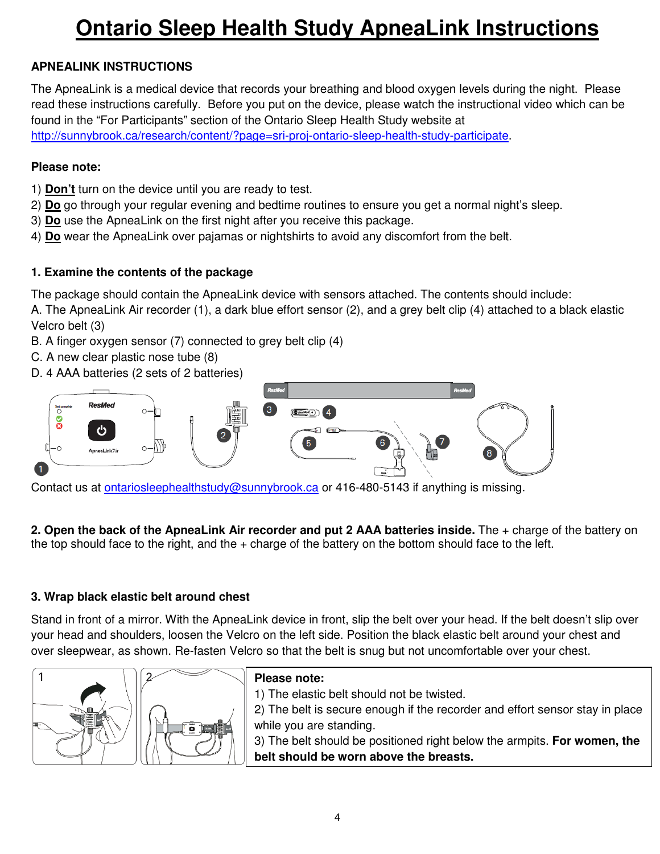# **Ontario Sleep Health Study ApneaLink Instructions**

## **APNEALINK INSTRUCTIONS**

The ApneaLink is a medical device that records your breathing and blood oxygen levels during the night. Please read these instructions carefully. Before you put on the device, please watch the instructional video which can be found in the "For Participants" section of the Ontario Sleep Health Study website at http://sunnybrook.ca/research/content/?page=sri-proj-ontario-sleep-health-study-participate.

#### **Please note:**

- 1) **Don't** turn on the device until you are ready to test.
- 2) **Do** go through your regular evening and bedtime routines to ensure you get a normal night's sleep.
- 3) **Do** use the ApneaLink on the first night after you receive this package.
- 4) **Do** wear the ApneaLink over pajamas or nightshirts to avoid any discomfort from the belt.

#### **1. Examine the contents of the package**

The package should contain the ApneaLink device with sensors attached. The contents should include:

A. The ApneaLink Air recorder (1), a dark blue effort sensor (2), and a grey belt clip (4) attached to a black elastic Velcro belt (3)

- B. A finger oxygen sensor (7) connected to grey belt clip (4)
- C. A new clear plastic nose tube (8)
- D. 4 AAA batteries (2 sets of 2 batteries)



Contact us at ontariosleephealthstudy@sunnybrook.ca or 416-480-5143 if anything is missing.

**2. Open the back of the ApneaLink Air recorder and put 2 AAA batteries inside.** The + charge of the battery on the top should face to the right, and the + charge of the battery on the bottom should face to the left.

#### **3. Wrap black elastic belt around chest**

Stand in front of a mirror. With the ApneaLink device in front, slip the belt over your head. If the belt doesn't slip over your head and shoulders, loosen the Velcro on the left side. Position the black elastic belt around your chest and over sleepwear, as shown. Re-fasten Velcro so that the belt is snug but not uncomfortable over your chest.



#### **Please note:**

1) The elastic belt should not be twisted.

2) The belt is secure enough if the recorder and effort sensor stay in place while you are standing.

3) The belt should be positioned right below the armpits. **For women, the belt should be worn above the breasts.**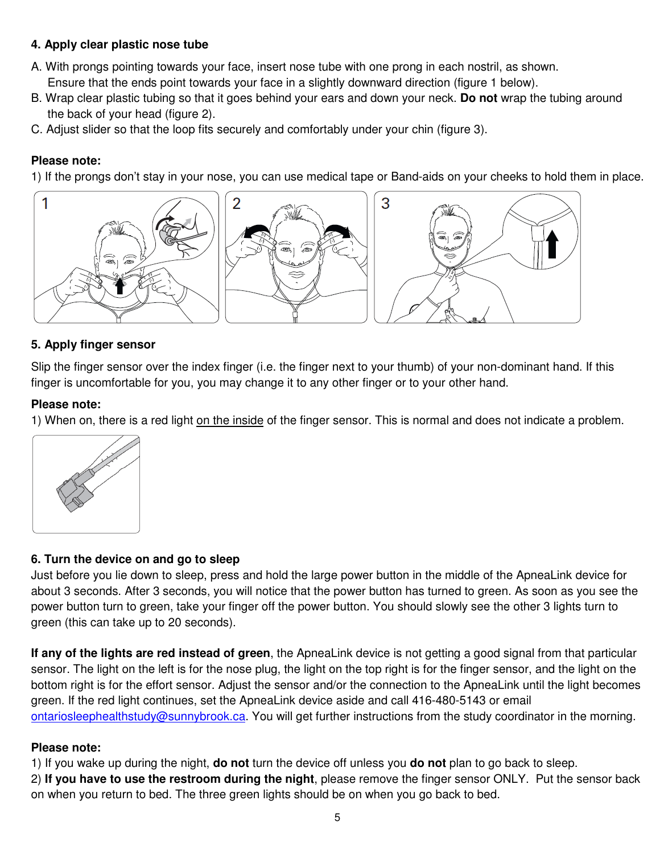#### **4. Apply clear plastic nose tube**

- A. With prongs pointing towards your face, insert nose tube with one prong in each nostril, as shown. Ensure that the ends point towards your face in a slightly downward direction (figure 1 below).
- B. Wrap clear plastic tubing so that it goes behind your ears and down your neck. **Do not** wrap the tubing around the back of your head (figure 2).
- C. Adjust slider so that the loop fits securely and comfortably under your chin (figure 3).

#### **Please note:**

1) If the prongs don't stay in your nose, you can use medical tape or Band-aids on your cheeks to hold them in place.



#### **5. Apply finger sensor**

Slip the finger sensor over the index finger (i.e. the finger next to your thumb) of your non-dominant hand. If this finger is uncomfortable for you, you may change it to any other finger or to your other hand.

#### **Please note:**

1) When on, there is a red light on the inside of the finger sensor. This is normal and does not indicate a problem.



#### **6. Turn the device on and go to sleep**

Just before you lie down to sleep, press and hold the large power button in the middle of the ApneaLink device for about 3 seconds. After 3 seconds, you will notice that the power button has turned to green. As soon as you see the power button turn to green, take your finger off the power button. You should slowly see the other 3 lights turn to green (this can take up to 20 seconds).

**If any of the lights are red instead of green**, the ApneaLink device is not getting a good signal from that particular sensor. The light on the left is for the nose plug, the light on the top right is for the finger sensor, and the light on the bottom right is for the effort sensor. Adjust the sensor and/or the connection to the ApneaLink until the light becomes green. If the red light continues, set the ApneaLink device aside and call 416-480-5143 or email ontariosleephealthstudy@sunnybrook.ca. You will get further instructions from the study coordinator in the morning.

## **Please note:**

1) If you wake up during the night, **do not** turn the device off unless you **do not** plan to go back to sleep.

2) **If you have to use the restroom during the night**, please remove the finger sensor ONLY. Put the sensor back on when you return to bed. The three green lights should be on when you go back to bed.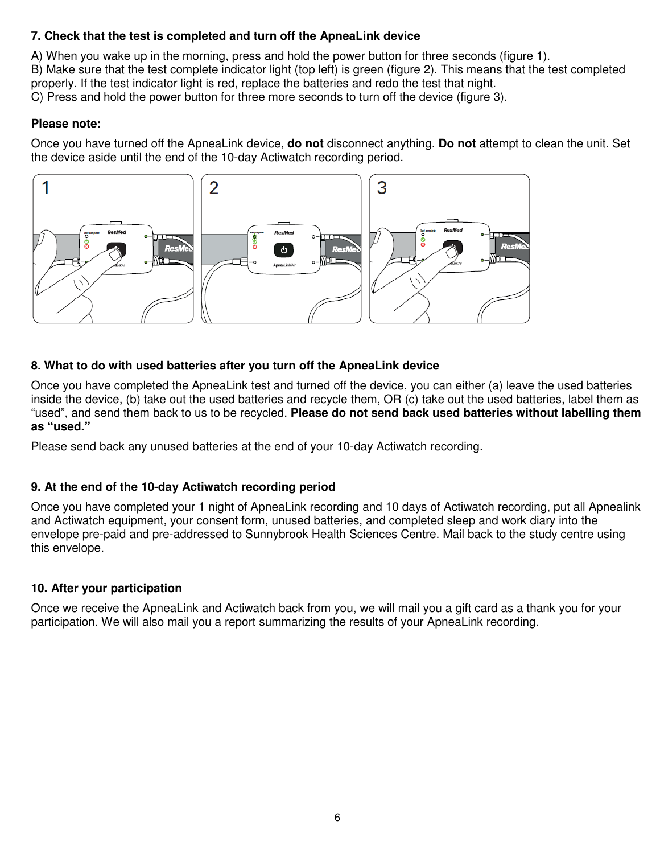## **7. Check that the test is completed and turn off the ApneaLink device**

A) When you wake up in the morning, press and hold the power button for three seconds (figure 1). B) Make sure that the test complete indicator light (top left) is green (figure 2). This means that the test completed properly. If the test indicator light is red, replace the batteries and redo the test that night. C) Press and hold the power button for three more seconds to turn off the device (figure 3).

#### **Please note:**

Once you have turned off the ApneaLink device, **do not** disconnect anything. **Do not** attempt to clean the unit. Set the device aside until the end of the 10-day Actiwatch recording period.



#### **8. What to do with used batteries after you turn off the ApneaLink device**

Once you have completed the ApneaLink test and turned off the device, you can either (a) leave the used batteries inside the device, (b) take out the used batteries and recycle them, OR (c) take out the used batteries, label them as "used", and send them back to us to be recycled. **Please do not send back used batteries without labelling them as "used."**

Please send back any unused batteries at the end of your 10-day Actiwatch recording.

## **9. At the end of the 10-day Actiwatch recording period**

Once you have completed your 1 night of ApneaLink recording and 10 days of Actiwatch recording, put all Apnealink and Actiwatch equipment, your consent form, unused batteries, and completed sleep and work diary into the envelope pre-paid and pre-addressed to Sunnybrook Health Sciences Centre. Mail back to the study centre using this envelope.

## **10. After your participation**

Once we receive the ApneaLink and Actiwatch back from you, we will mail you a gift card as a thank you for your participation. We will also mail you a report summarizing the results of your ApneaLink recording.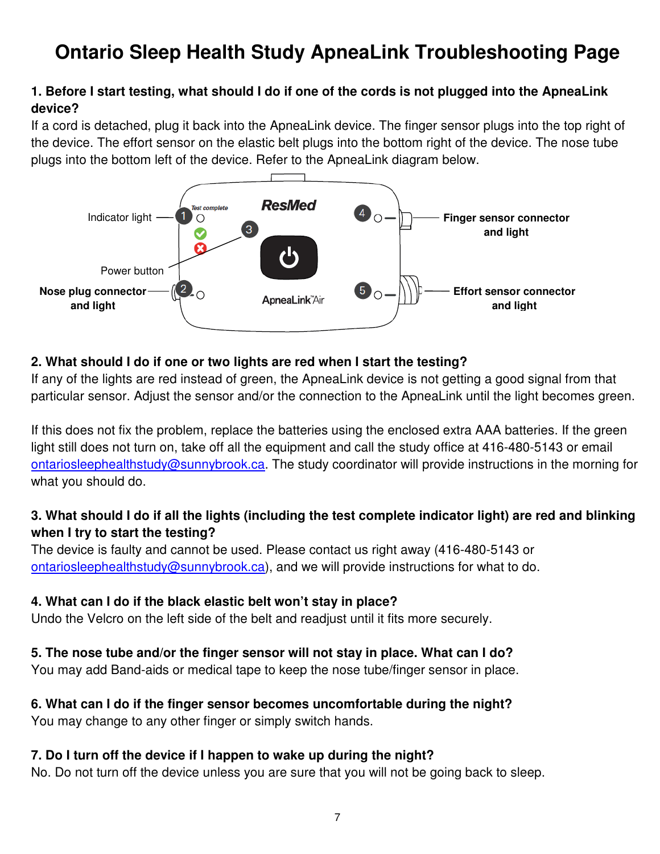## **Ontario Sleep Health Study ApneaLink Troubleshooting Page**

## **1. Before I start testing, what should I do if one of the cords is not plugged into the ApneaLink device?**

If a cord is detached, plug it back into the ApneaLink device. The finger sensor plugs into the top right of the device. The effort sensor on the elastic belt plugs into the bottom right of the device. The nose tube plugs into the bottom left of the device. Refer to the ApneaLink diagram below.



## **2. What should I do if one or two lights are red when I start the testing?**

If any of the lights are red instead of green, the ApneaLink device is not getting a good signal from that particular sensor. Adjust the sensor and/or the connection to the ApneaLink until the light becomes green.

If this does not fix the problem, replace the batteries using the enclosed extra AAA batteries. If the green light still does not turn on, take off all the equipment and call the study office at 416-480-5143 or email ontariosleephealthstudy@sunnybrook.ca. The study coordinator will provide instructions in the morning for what you should do.

## **3. What should I do if all the lights (including the test complete indicator light) are red and blinking when I try to start the testing?**

The device is faulty and cannot be used. Please contact us right away (416-480-5143 or ontariosleephealthstudy@sunnybrook.ca), and we will provide instructions for what to do.

## **4. What can I do if the black elastic belt won't stay in place?**

Undo the Velcro on the left side of the belt and readjust until it fits more securely.

## **5. The nose tube and/or the finger sensor will not stay in place. What can I do?**

You may add Band-aids or medical tape to keep the nose tube/finger sensor in place.

#### **6. What can I do if the finger sensor becomes uncomfortable during the night?**  You may change to any other finger or simply switch hands.

## **7. Do I turn off the device if I happen to wake up during the night?**

No. Do not turn off the device unless you are sure that you will not be going back to sleep.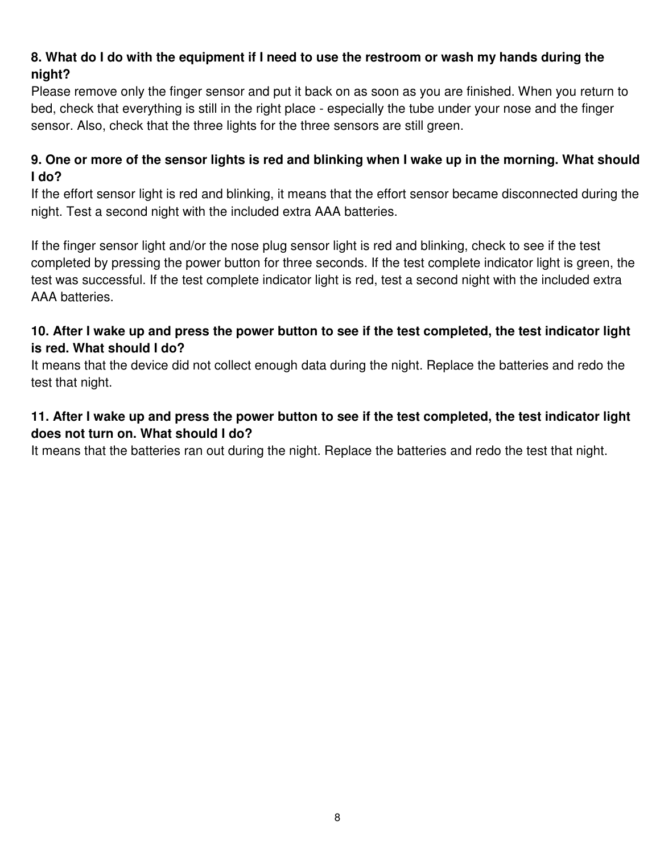## **8. What do I do with the equipment if I need to use the restroom or wash my hands during the night?**

Please remove only the finger sensor and put it back on as soon as you are finished. When you return to bed, check that everything is still in the right place - especially the tube under your nose and the finger sensor. Also, check that the three lights for the three sensors are still green.

## **9. One or more of the sensor lights is red and blinking when I wake up in the morning. What should I do?**

If the effort sensor light is red and blinking, it means that the effort sensor became disconnected during the night. Test a second night with the included extra AAA batteries.

If the finger sensor light and/or the nose plug sensor light is red and blinking, check to see if the test completed by pressing the power button for three seconds. If the test complete indicator light is green, the test was successful. If the test complete indicator light is red, test a second night with the included extra AAA batteries.

## **10. After I wake up and press the power button to see if the test completed, the test indicator light is red. What should I do?**

It means that the device did not collect enough data during the night. Replace the batteries and redo the test that night.

## **11. After I wake up and press the power button to see if the test completed, the test indicator light does not turn on. What should I do?**

It means that the batteries ran out during the night. Replace the batteries and redo the test that night.